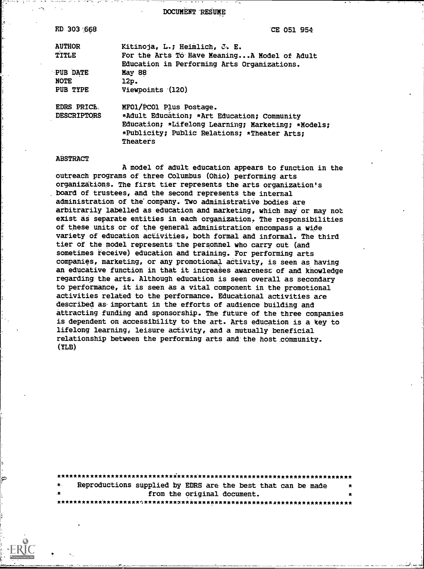DOCUMENT RESUME

| ED 303 668         | CE 051 954                                         |  |  |  |
|--------------------|----------------------------------------------------|--|--|--|
| <b>AUTHOR</b>      | Kitinoja, L.; Heimlich, J. E.                      |  |  |  |
| TITLE              | For the Arts To Have MeaningA Model of Adult       |  |  |  |
|                    | Education in Performing Arts Organizations.        |  |  |  |
| <b>PUB DATE</b>    | May 88                                             |  |  |  |
| <b>NOTE</b>        | 12p.                                               |  |  |  |
| PUB TYPE           | Viewpoints (120)                                   |  |  |  |
| EDRS PRICE.        | MFO1/PCO1 Plus Postage.                            |  |  |  |
| <b>DESCRIPTORS</b> | *Adult Education; *Art Education; Community        |  |  |  |
|                    | Education; *Lifelong Learning; Marketing; *Models; |  |  |  |
|                    | *Publicity; Public Relations; *Theater Arts;       |  |  |  |
|                    | Theaters                                           |  |  |  |
|                    |                                                    |  |  |  |

#### **ABSTRACT**

A model of adult education appears to function in the outreach programs of three Columbus (Ohio) performing arts organizations. The first tier represents the arts organization's board of trustees, and the second represents the internal administration of the company. Two administrative bodies are arbitrarily labelled as education and marketing, which may or may not exist as separate entities in each organization. The responsibilities of these units or of the general administration encompass a wide variety of education activities, both formal and informal. The third tier of the model represents the personnel who carry out (and sometimes receive) education and training. For performing arts companies, marketing, or any promotional activity, is seen as having an educative function in that it increases awareness of and knowledge regarding the arts. Although education is seen overall as secondary to performance, it is seen as a vital component in the promotional activities related to the performance. Educational activities are described as important in the efforts of audience building and attracting funding and sponsorship. The future of the three companies is dependent on accessibility to the art. Arts education is a key to lifelong learning, leisure activity, and a mutually beneficial relationship between the performing arts and the host community.  $(YLB)$ 

| $\star$ |  |  |  | Reproductions supplied by EDRS are the best that can be made | $\star$ |  |  |
|---------|--|--|--|--------------------------------------------------------------|---------|--|--|
| .∗      |  |  |  | from the original document.                                  | $\star$ |  |  |
|         |  |  |  |                                                              |         |  |  |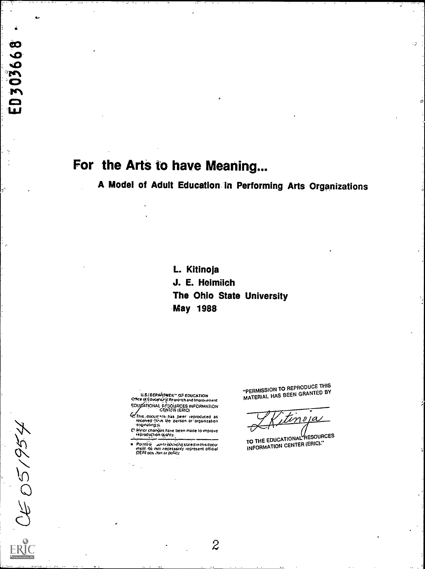# For the Arts to have Meaning...

303668

 $\blacksquare$ Đ

CE 051954

A Model of Adult Education in Performing Arts Organizations

L. Kitinoja J. E. Heimilch The Ohio State University **May 1988** 

**U.S.IDEPARTMEN' OF EDUCATION** 

- Office of Education of Passicular Individual Account CENTER (ERIC)
- E This document has been reproduced as received from the person or organization
- D'Minor changes have been made to improve

Points of an anticominate stated in this document do not recassing regressent official

"PERMISSION TO REPRODUCE THIS MATERIAL HAS BEEN GRANTED BY

nopa

TO THE EDUCATIONAL RESOURCES INFORMATION CENTER (ERIC)."

 $\overline{2}$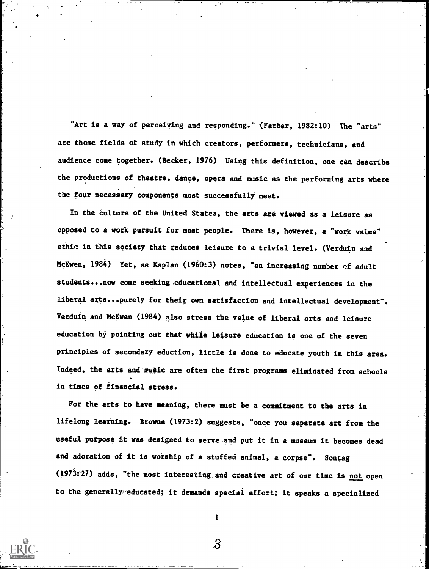"Art is a way of perceiving and responding." (Farber, 1982:10) The "arts" are those fields of study in which creators, performers, technicians, and audience come together. (Becker, 1976) Using this definition, one can describe the productions of theatre, dance, opera and music as the performing arts where the four necessary components most successfully meet.

In the culture of the United States, the arts are viewed as a leisure as opposed to a work pursuit for most people. There is, however, a "work value" ethic. in this society that reduces leisure to a trivial level. (Verduin and McEwen, 1984) Yet, as Kaplan (1960:3) notes, "an increasing number of adult students...now come seeking educational and intellectual experiences in the liberal arts...purely for their own satisfaction and intellectual development". Verduin and McEwen (1984) also stress the value of liberal arts and leisure education by pointing out that while leisure education is one of the seven principles of secondary eduction, little is done to educate youth in this area. Indeed, the arts and music are often the first programs eliminated from schools in times of financial stress.

For the arts to have meaning, there must be a commitment to the arts in lifelong learning. Browne (1973:2) suggests, "once you separate art from the useful purpose it was designed to serve and put it in a museum it becomes dead and adoration of it is worship of a stuffed animal, a corpse". Sontag (1973:27) adds, "the most interesting and creative art of our time is not open to the generally, educated; it demands special effort; it speaks a specialized

1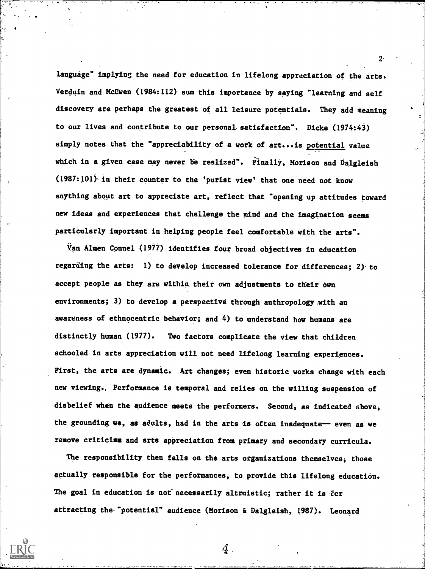language" implying the need for education in lifelong appreciation of the arts. Verduin and McEwen (1984:112) sum this importance by saying "learning and self discovery are perhaps the greatest of all leisure potentials. They add meaning to our lives and contribute to our personal satisfaction". Dicke (1974:43) simply notes that the "appreciability of a work of art... is potential value which in a given case may never be realized". Finally, Morison and balgleish (1987:101)-in their counter to the 'purist view' that one need not know anything about art to appreciate art, reflect that "opening-up attitudes toward new ideas and experiences that challenge the mind and the imagination seems particularly important in helping people feel comfortable with the arts".

Van Almen Connel'(1977) identifies four broad objectives in education regarding the arts: 1) to develop increased tolerance for differences; 2)- to accept people as they are within their own adjustments to their own environments; 3) to develop a perspective through anthropology with an awareness of ethnocentric behavior; and 4) to understand how humans are distinctly human (1977). Two factors complicate the view-that children schooled in arts appreciation will not need lifelong learning experiences. First, the arts are dynamic. Art changes; even historic works change with each new viewing., Performance is temporal and relies on the willing suspension of disbelief when the audience meets the performers. Second, as indicated above, the grounding we, as adults, had in the arts is often inadequate-- even as we remove Criticism and arts appreciation from primary and secondary curricula.

The responsibility then falls on the arts organizations themselves, those actually responsible for the performances, to provide this lifelong education. The goal in education is not necessarily altruistic; rather it is for attracting the "potential" audience (Morison & Dalgleish, 1987). Leonard

 $2<sup>2</sup>$ 

 ${\cal Q}$  .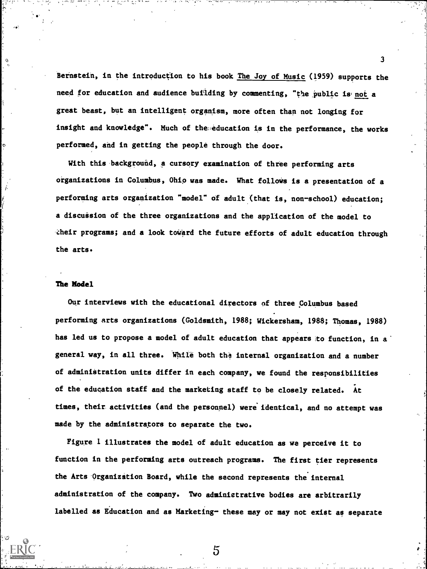Bernstein, in the introduction to his book The Joy of Music (1959) supports the need for education and audience building by commenting, "the public is not a great beast, but an intelligent organism, more often than not longing for insight and knowledge". Much of the education is in the performance, the works performed, and in getting the people through the door.

3

With this background, a cursory examination of three performing arts organizations in Columbus, Ohio was made. What follows is a presentation of a performing arts organization "model" of adult (that is, non-school) education; a discussion of the three organizations and the application of the model to -heir programs; and a look toward the future efforts of adult education through the arts.

#### The Model

Our interviews with the educational directors of three Columbus based performing arts organizations (Goldsmith, 1988; Wickersham, 1988; Thomas, 1988) has led us to propose a model of adult education that appears to function, in a general way, in all three. While both the internal organization and a number of administration units differ in each company, we found the responsibilities of the education staff and the marketing staff to be closely related. At times, their activities (and the personnel) were identical, and no attempt was made by the administrators to separate the two.

Figure 1 illustrates the model of adult education as we perceive it to function in the performing arts outreach programs. The first tier represents the Arts-Organization Board, while the second represents the internal administration of the company. Two administrative bodies are arbitrarily labelled as Education and as Marketing- these may or may not exist as separate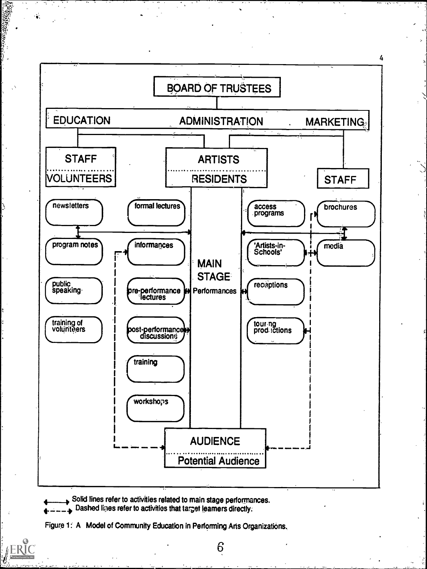

Solid lines refer to activities related to main stage performances. Dashed lines refer to activities that target learners directly.  $\ddot{\phantom{0}}$ 

W. DESSERVE

Figure 1: A Model of Community Education in Performing Arts Organizations.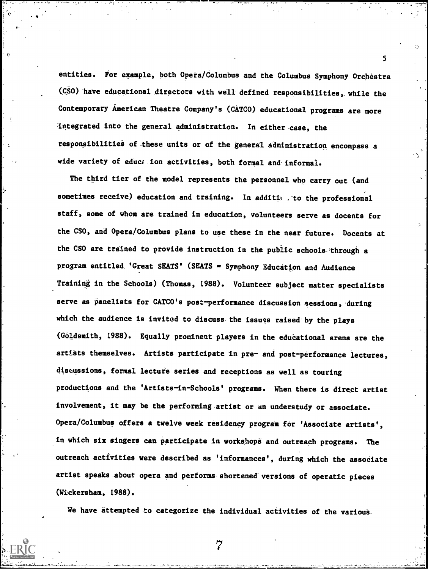entities. For example, both Opera/Columbus and the Columbus Symphony Orchestra  $(CSO)$  have educational directors with well defined responsibilities, while the Contemporary American Theatre Company's (CATCO) educational programs are more integrated into the general administration. In either-case, the responsibilities of these units or of the general administration encompass a wide variety of education activities, both formal and informal.

5

 $\theta$  and  $\theta$ 

The third tier of the model represents the personnel who carry out (and sometimes receive) education and training. In additime . To the professional staff, some of whom are trained in education, volunteers serve as docents for the CSO, and Opera/Columbus plans to use these in the near future. Docents at the CSO are trained to provide instruction in the public schools through a program entitled, 'Great SEATS' (SEATS = Symphony Education and Audience Training in the Schools) (Thomas, 1988). Volunteer subject matter specialists serve as panelists for CATCO's post-performance discussion sessions, during which the audience is invited to discuss. the issues raised' by the plays (Goldsmith, 1988). Equally prominent players in the edudational arena are the artists themselves. Artists participate in pre- and post-performance lectures, discussions, formal lecture series and receptions as well as touring productions and the 'Artists-in-Schools' programs. When there is direct artist involvement, it may be the performing artist or an understudy or associate. Opera/Columbus offers a twelve week residency program for 'Associate artists', in which six singers can participate in workshops and outreach programs. The outreach activities were described as 'informances', during which the associate artist speaks about opera and performs shortened versions of operatic pieces (Wickersham, 1988).

We have attempted to categorize the individual activities of the various.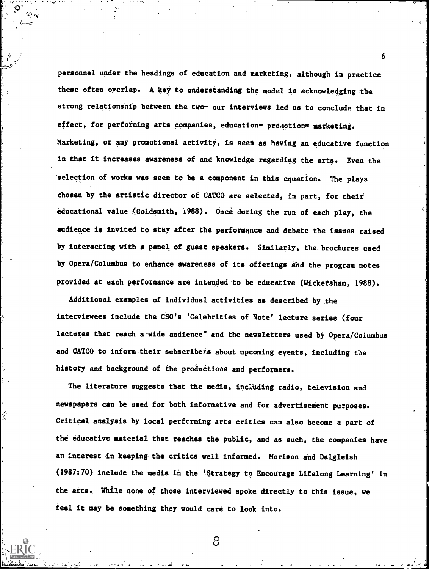personnel under the headings of education and marketing, although in practice these often overlap. A key to understanding the model is acknowledging the strong relationship between the two- our interviews led us to conclude that in effect, for performing arts companies, education= proaction= marketing. Marketing, or any promotional activity, is seen as having an educative function in that it increases awareness of and knowledge regarding the arts. Even the selection of works was seen to be a component in this equation. The plays chosen by the artistic director of CATCO are selected, in part, for their educational value (Goldsmith, 1988). Once during the run of each play, the audience is invited to stay after the performance and debate the issues raised by interacting with a panel of guest speakers. Similarly, the brochures used by Opera/Columbus to enhance awareness of its offerings and the program notes provided at each performance are intended to be educative (Wickersham, 1988).

Additional examples of individual activities as described by the interviewees include the CSO's 'Celebrities of Note' lecture series (four lectures that reach a wide audience" and the newsletters used by Opera/Columbus and CATCO to inform their subscribess about upcoming events, including the history and background of the productions and performers.

The literature suggests that the media, including radio, television and newspapers can be used for both informative and for advertisement purposes. Critical analysis by local performing arts critics can also become a part of the educative material that reaches the public, and as such, the companies have an interest in keeping the critics well informed. Morison and Dalgleish (1987:70) include the media in the 'Strategy to Encourage Lifelong Learning' in the arts., While none of those interviewed spoke directly to this issue, we feel it may be something they would care to look into.

6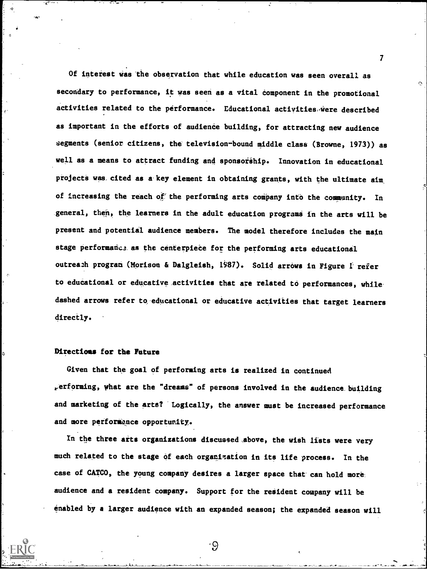Of interest Was the observation that while education was seen overall as secondary to performance, it was seen as a vital component in the promotional activities related to the performance. Educational activities were described as important in the efforts of audience building, for attracting new audience segments (senior citizens, the television-bound middle class (Browne, 1973)) as well as a means to attract funding and sponsorship. Innovation in educational projects was cited as a key element in obtaining grants, with the ultimate aim of increasing the reach of the performing arts company into the community. In seneral, then, the learners in the adult education programs in the arts will be present and potential audience members. The model therefore includes the main stage performance as the centerpiece for the performing arts educational outreach program (Morison & Dalgleish, 1987). Solid arrows in Figure 1 refer to educational or educative. activities that are related to performances, while. dashed arrows refer to educational or educative activities that target learners directly.

### Directions for the Future

Given that the goal of performing arts is realized in continued  $_{\rm F}$ erforming, what are the "dreams" of persons involved in the audience building and marketing of the arts? Logically, the answer must be increased performance and more performance opportunity.

In the three arts organizations discussed above, the wish lists were very much related to the stage of each organization in its life process. In the case of CATCO, the young company desires a larger space that can hold more. audience and a resident company. Support for the resident company will be enabled by a larger audience with an expanded season; the expanded season will

∙9

 $\mathbf{7}$  and  $\mathbf{7}$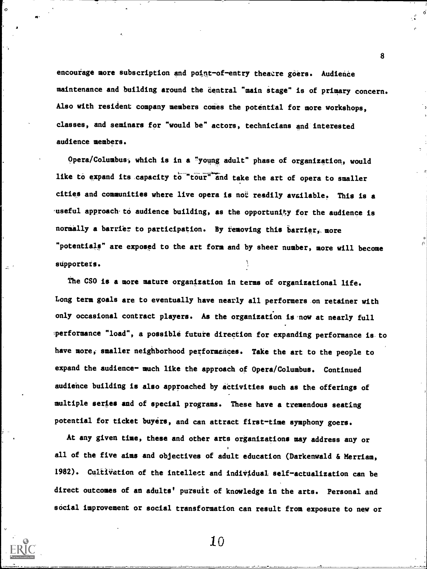encourage more subscription and point-of-entry theatre goers. Audience maintenance and building around the central "main stage" is of primary concern. Also with resident company members comes the potential for more workshops, classes, and seminars for "would be" actors, technicians and'interested audience members.

Opera/Columbus; which is in a "young adult" phase of organization, would like to expand its capacity to "tour" and take the art of opera to smaller cities and communities where live opera is not readily available. This is a useful approach to audience building, as the opportunity for the audience is normally a barrier to participation. By removing this barrier, more "potentials" are exposed to the art fora and by sheer number, more will become supporters.

The CSO is a more mature organization in terms of organizational life. Long term goals are to eventually have nearly all performers on retainer with only occasional contract players. As the organization is'now at nearly full performance "load", a possible future direction for expanding performance is to have more, smaller neighborhood performances. Take the art to the people to expand the audience- much like the approach of Opera/Columbus. Continued audience building is also approached by activities such as the offerings of multiple series and of special programs. These have a tremendous seating potential for ticket buyers, and can attract first-time symphony goers.

At any given tine, these and other arts organizations may address any or all of the five aims and objectives of adult education (Darkenwald & Merriam, 1982). Cultivation of the intellect and individual self-actualization can be direct outcomes of an adults' pursuit of knowledge in the arts. Personal and social improvement or social transformation can result from exposure to new or

8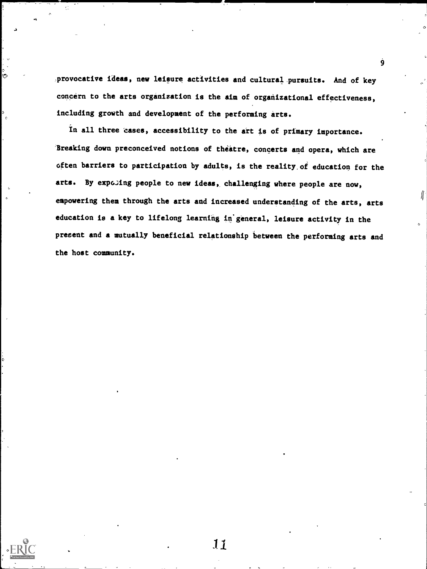provocative ideas, new leisure activities and cultural pursuits. And of key concern to the arts organization is the aim of organizational effectiveness, including growth and development of the performing arts.

In all three 'cases, accessibility to the art is of primary importance. 'Breaking down preconceived notions of theatre, concerts and opera, which are often barriers to participation by adults, is the reality, of education for the arts. By expoling people to new ideas, challenging where people are now, empowering them through the arts and increased understanding of the arts, arts education is a key to lifelong learning in general, leisure activity in the present and a mutually beneficial relationship between the performing arts and the host community.